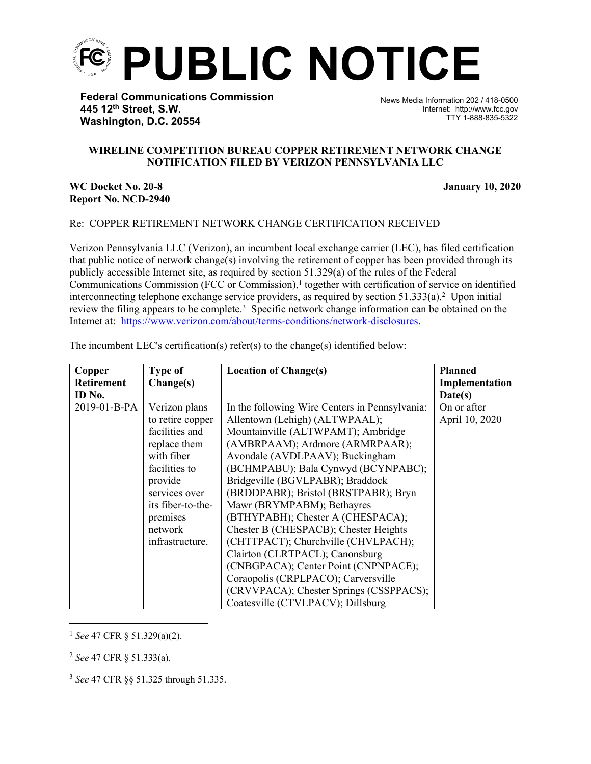

**Federal Communications Commission 445 12th Street, S.W. Washington, D.C. 20554**

News Media Information 202 / 418-0500 Internet: http://www.fcc.gov TTY 1-888-835-5322

## **WIRELINE COMPETITION BUREAU COPPER RETIREMENT NETWORK CHANGE NOTIFICATION FILED BY VERIZON PENNSYLVANIA LLC**

֡֡֡֡

## **WC Docket No. 20-8 January 10, 2020 Report No. NCD-2940**

## Re: COPPER RETIREMENT NETWORK CHANGE CERTIFICATION RECEIVED

Verizon Pennsylvania LLC (Verizon), an incumbent local exchange carrier (LEC), has filed certification that public notice of network change(s) involving the retirement of copper has been provided through its publicly accessible Internet site, as required by section 51.329(a) of the rules of the Federal Communications Commission (FCC or Commission),<sup>1</sup> together with certification of service on identified interconnecting telephone exchange service providers, as required by section  $51.333(a)$ .<sup>2</sup> Upon initial review the filing appears to be complete.<sup>3</sup> Specific network change information can be obtained on the Internet at: <https://www.verizon.com/about/terms-conditions/network-disclosures>.

| Copper            | <b>Type of</b>                                                                                                                 | <b>Location of Change(s)</b>                                                                                                                                                                                                                                                                                                                      | <b>Planned</b>                |
|-------------------|--------------------------------------------------------------------------------------------------------------------------------|---------------------------------------------------------------------------------------------------------------------------------------------------------------------------------------------------------------------------------------------------------------------------------------------------------------------------------------------------|-------------------------------|
| <b>Retirement</b> | Change(s)                                                                                                                      |                                                                                                                                                                                                                                                                                                                                                   | Implementation                |
| ID No.            |                                                                                                                                |                                                                                                                                                                                                                                                                                                                                                   | Date(s)                       |
| 2019-01-B-PA      | Verizon plans<br>to retire copper<br>facilities and<br>replace them<br>with fiber<br>facilities to<br>provide<br>services over | In the following Wire Centers in Pennsylvania:<br>Allentown (Lehigh) (ALTWPAAL);<br>Mountainville (ALTWPAMT); Ambridge<br>(AMBRPAAM); Ardmore (ARMRPAAR);<br>Avondale (AVDLPAAV); Buckingham<br>(BCHMPABU); Bala Cynwyd (BCYNPABC);<br>Bridgeville (BGVLPABR); Braddock<br>(BRDDPABR); Bristol (BRSTPABR); Bryn                                   | On or after<br>April 10, 2020 |
|                   | its fiber-to-the-<br>premises<br>network<br>infrastructure.                                                                    | Mawr (BRYMPABM); Bethayres<br>(BTHYPABH); Chester A (CHESPACA);<br>Chester B (CHESPACB); Chester Heights<br>(CHTTPACT); Churchville (CHVLPACH);<br>Clairton (CLRTPACL); Canonsburg<br>(CNBGPACA); Center Point (CNPNPACE);<br>Coraopolis (CRPLPACO); Carversville<br>(CRVVPACA); Chester Springs (CSSPPACS);<br>Coatesville (CTVLPACV); Dillsburg |                               |

The incumbent LEC's certification(s) refer(s) to the change(s) identified below:

<sup>1</sup> *See* 47 CFR § 51.329(a)(2).

<sup>2</sup> *See* 47 CFR § 51.333(a).

<sup>3</sup> *See* 47 CFR §§ 51.325 through 51.335.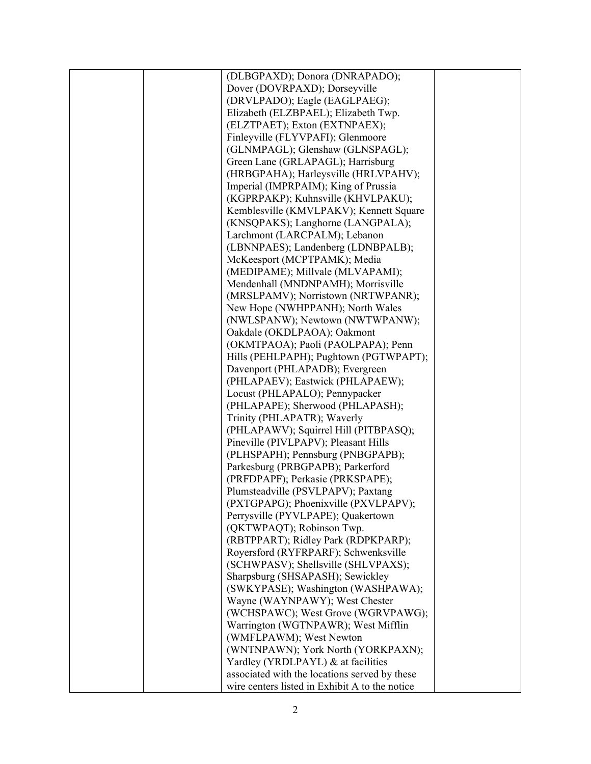|  | (DLBGPAXD); Donora (DNRAPADO);                                         |  |
|--|------------------------------------------------------------------------|--|
|  | Dover (DOVRPAXD); Dorseyville                                          |  |
|  | (DRVLPADO); Eagle (EAGLPAEG);                                          |  |
|  | Elizabeth (ELZBPAEL); Elizabeth Twp.                                   |  |
|  | (ELZTPAET); Exton (EXTNPAEX);                                          |  |
|  | Finleyville (FLYVPAFI); Glenmoore                                      |  |
|  | (GLNMPAGL); Glenshaw (GLNSPAGL);                                       |  |
|  | Green Lane (GRLAPAGL); Harrisburg                                      |  |
|  | (HRBGPAHA); Harleysville (HRLVPAHV);                                   |  |
|  | Imperial (IMPRPAIM); King of Prussia                                   |  |
|  | (KGPRPAKP); Kuhnsville (KHVLPAKU);                                     |  |
|  | Kemblesville (KMVLPAKV); Kennett Square                                |  |
|  | (KNSQPAKS); Langhorne (LANGPALA);                                      |  |
|  | Larchmont (LARCPALM); Lebanon                                          |  |
|  | (LBNNPAES); Landenberg (LDNBPALB);                                     |  |
|  | McKeesport (MCPTPAMK); Media                                           |  |
|  | (MEDIPAME); Millvale (MLVAPAMI);                                       |  |
|  | Mendenhall (MNDNPAMH); Morrisville                                     |  |
|  | (MRSLPAMV); Norristown (NRTWPANR);                                     |  |
|  | New Hope (NWHPPANH); North Wales                                       |  |
|  | (NWLSPANW); Newtown (NWTWPANW);                                        |  |
|  | Oakdale (OKDLPAOA); Oakmont                                            |  |
|  | (OKMTPAOA); Paoli (PAOLPAPA); Penn                                     |  |
|  | Hills (PEHLPAPH); Pughtown (PGTWPAPT);                                 |  |
|  | Davenport (PHLAPADB); Evergreen                                        |  |
|  | (PHLAPAEV); Eastwick (PHLAPAEW);                                       |  |
|  |                                                                        |  |
|  | Locust (PHLAPALO); Pennypacker<br>(PHLAPAPE); Sherwood (PHLAPASH);     |  |
|  | Trinity (PHLAPATR); Waverly                                            |  |
|  |                                                                        |  |
|  | (PHLAPAWV); Squirrel Hill (PITBPASQ);                                  |  |
|  | Pineville (PIVLPAPV); Pleasant Hills                                   |  |
|  | (PLHSPAPH); Pennsburg (PNBGPAPB);<br>Parkesburg (PRBGPAPB); Parkerford |  |
|  |                                                                        |  |
|  | (PRFDPAPF); Perkasie (PRKSPAPE);                                       |  |
|  | Plumsteadville (PSVLPAPV); Paxtang                                     |  |
|  | (PXTGPAPG); Phoenixville (PXVLPAPV);                                   |  |
|  | Perrysville (PYVLPAPE); Quakertown                                     |  |
|  | (QKTWPAQT); Robinson Twp.<br>(RBTPPART); Ridley Park (RDPKPARP);       |  |
|  | Royersford (RYFRPARF); Schwenksville                                   |  |
|  |                                                                        |  |
|  | (SCHWPASV); Shellsville (SHLVPAXS);                                    |  |
|  | Sharpsburg (SHSAPASH); Sewickley                                       |  |
|  | (SWKYPASE); Washington (WASHPAWA);                                     |  |
|  | Wayne (WAYNPAWY); West Chester                                         |  |
|  | (WCHSPAWC); West Grove (WGRVPAWG);                                     |  |
|  | Warrington (WGTNPAWR); West Mifflin                                    |  |
|  | (WMFLPAWM); West Newton                                                |  |
|  | (WNTNPAWN); York North (YORKPAXN);                                     |  |
|  | Yardley (YRDLPAYL) & at facilities                                     |  |
|  | associated with the locations served by these                          |  |
|  | wire centers listed in Exhibit A to the notice                         |  |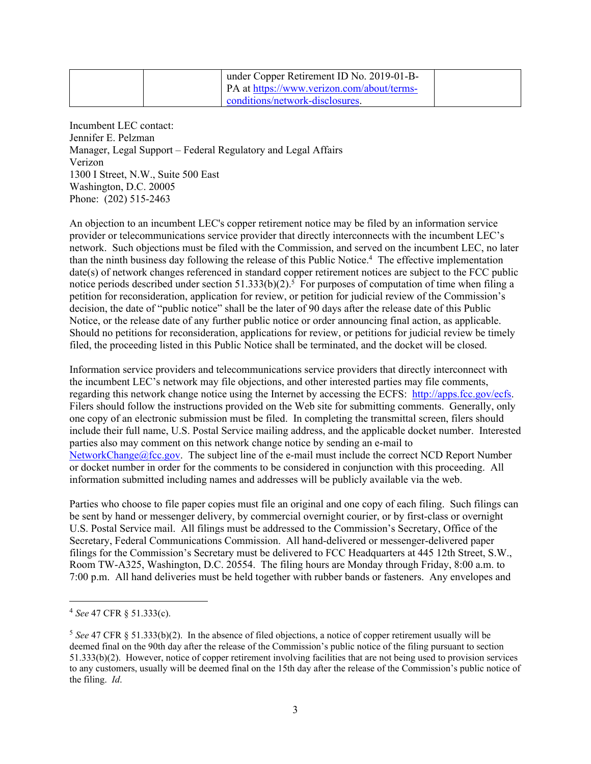|  | under Copper Retirement ID No. 2019-01-B-  |  |
|--|--------------------------------------------|--|
|  | PA at https://www.verizon.com/about/terms- |  |
|  | conditions/network-disclosures.            |  |

Incumbent LEC contact: Jennifer E. Pelzman Manager, Legal Support – Federal Regulatory and Legal Affairs Verizon 1300 I Street, N.W., Suite 500 East Washington, D.C. 20005 Phone: (202) 515-2463

An objection to an incumbent LEC's copper retirement notice may be filed by an information service provider or telecommunications service provider that directly interconnects with the incumbent LEC's network. Such objections must be filed with the Commission, and served on the incumbent LEC, no later than the ninth business day following the release of this Public Notice.<sup>4</sup> The effective implementation date(s) of network changes referenced in standard copper retirement notices are subject to the FCC public notice periods described under section 51.333(b)(2).<sup>5</sup> For purposes of computation of time when filing a petition for reconsideration, application for review, or petition for judicial review of the Commission's decision, the date of "public notice" shall be the later of 90 days after the release date of this Public Notice, or the release date of any further public notice or order announcing final action, as applicable. Should no petitions for reconsideration, applications for review, or petitions for judicial review be timely filed, the proceeding listed in this Public Notice shall be terminated, and the docket will be closed.

Information service providers and telecommunications service providers that directly interconnect with the incumbent LEC's network may file objections, and other interested parties may file comments, regarding this network change notice using the Internet by accessing the ECFS: [http://apps.fcc.gov/ecfs.](http://apps.fcc.gov/ecfs) Filers should follow the instructions provided on the Web site for submitting comments. Generally, only one copy of an electronic submission must be filed. In completing the transmittal screen, filers should include their full name, U.S. Postal Service mailing address, and the applicable docket number. Interested parties also may comment on this network change notice by sending an e-mail to [NetworkChange@fcc.gov.](mailto:NetworkChange@fcc.gov) The subject line of the e-mail must include the correct NCD Report Number or docket number in order for the comments to be considered in conjunction with this proceeding. All information submitted including names and addresses will be publicly available via the web.

Parties who choose to file paper copies must file an original and one copy of each filing. Such filings can be sent by hand or messenger delivery, by commercial overnight courier, or by first-class or overnight U.S. Postal Service mail. All filings must be addressed to the Commission's Secretary, Office of the Secretary, Federal Communications Commission. All hand-delivered or messenger-delivered paper filings for the Commission's Secretary must be delivered to FCC Headquarters at 445 12th Street, S.W., Room TW-A325, Washington, D.C. 20554. The filing hours are Monday through Friday, 8:00 a.m. to 7:00 p.m. All hand deliveries must be held together with rubber bands or fasteners. Any envelopes and

<sup>4</sup> *See* 47 CFR § 51.333(c).

<sup>5</sup> *See* 47 CFR § 51.333(b)(2). In the absence of filed objections, a notice of copper retirement usually will be deemed final on the 90th day after the release of the Commission's public notice of the filing pursuant to section 51.333(b)(2). However, notice of copper retirement involving facilities that are not being used to provision services to any customers, usually will be deemed final on the 15th day after the release of the Commission's public notice of the filing. *Id*.